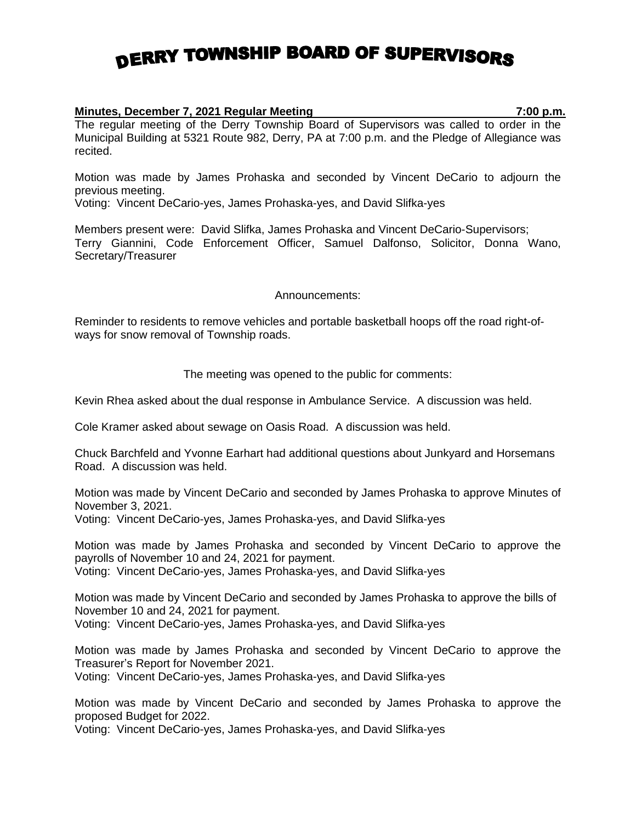## DERRY TOWNSHIP BOARD OF SUPERVISORS

## **Minutes, December 7, 2021 Regular Meeting 7:00 p.m.**

The regular meeting of the Derry Township Board of Supervisors was called to order in the Municipal Building at 5321 Route 982, Derry, PA at 7:00 p.m. and the Pledge of Allegiance was recited.

Motion was made by James Prohaska and seconded by Vincent DeCario to adjourn the previous meeting.

Voting: Vincent DeCario-yes, James Prohaska-yes, and David Slifka-yes

Members present were: David Slifka, James Prohaska and Vincent DeCario-Supervisors; Terry Giannini, Code Enforcement Officer, Samuel Dalfonso, Solicitor, Donna Wano, Secretary/Treasurer

Announcements:

Reminder to residents to remove vehicles and portable basketball hoops off the road right-ofways for snow removal of Township roads.

The meeting was opened to the public for comments:

Kevin Rhea asked about the dual response in Ambulance Service. A discussion was held.

Cole Kramer asked about sewage on Oasis Road. A discussion was held.

Chuck Barchfeld and Yvonne Earhart had additional questions about Junkyard and Horsemans Road. A discussion was held.

Motion was made by Vincent DeCario and seconded by James Prohaska to approve Minutes of November 3, 2021.

Voting: Vincent DeCario-yes, James Prohaska-yes, and David Slifka-yes

Motion was made by James Prohaska and seconded by Vincent DeCario to approve the payrolls of November 10 and 24, 2021 for payment. Voting: Vincent DeCario-yes, James Prohaska-yes, and David Slifka-yes

Motion was made by Vincent DeCario and seconded by James Prohaska to approve the bills of November 10 and 24, 2021 for payment. Voting: Vincent DeCario-yes, James Prohaska-yes, and David Slifka-yes

Motion was made by James Prohaska and seconded by Vincent DeCario to approve the Treasurer's Report for November 2021. Voting: Vincent DeCario-yes, James Prohaska-yes, and David Slifka-yes

Motion was made by Vincent DeCario and seconded by James Prohaska to approve the proposed Budget for 2022.

Voting: Vincent DeCario-yes, James Prohaska-yes, and David Slifka-yes